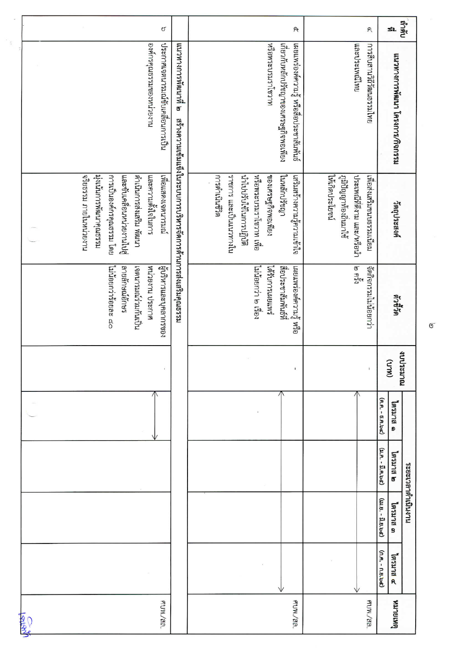|              |                                                                                                             | ೮                                                                     |                                                              |                                                                                                                      | প্                                                                                |                                           | $\mathsf{P} \mathsf{C}$                                | SL                                    | กะเย              |
|--------------|-------------------------------------------------------------------------------------------------------------|-----------------------------------------------------------------------|--------------------------------------------------------------|----------------------------------------------------------------------------------------------------------------------|-----------------------------------------------------------------------------------|-------------------------------------------|--------------------------------------------------------|---------------------------------------|-------------------|
|              |                                                                                                             | ประกาศเจตนารมณ์ขับเคลื่อนการเป็น<br>นายเน็ตของนายองหน่วยงาน           | แนวทางการพัฒนาติ ๒                                           | หรือพระบรมราโชวาท                                                                                                    | เกี่ยวกับหลักปรัชญาของเศรษฐกิจพอเพียง<br>เผยแพร่องค์ความรู้ หรือสื่อประชาสัมพันธ์ |                                           | เลนไมีพนะประเท<br>เพโนะรอนผิวดีวัฒนธรรมไทย             | แนวทางการพัฒนา โครงการ/กิจกรรม        |                   |
|              | นะรอนจุกนารพิฆนาคุณธรรม<br>จริยธรรม ภายในหน่วยงาน<br>การเป็นองค์กรคุณธรรม โดย<br>เละขับเคลื่อนหน่วยงานไปสู่ | เทียนรานของเจตนารมณ์<br>คำเนินการส่งเสริม พัฒนา<br>เละความตั้งใจในการ | สร้างความเข้มแข็งในระบบการบริหารจัดการด้านการส่งเสริมคุณธรรม | คริดำเนินซีวิต<br>นำไปปรับใช้ในการปฏิบัติ<br>นายการ และเป็นแนวทางใน<br>หรือพระบรมราโชวาท เพื่อ<br>ของเศรษฐกิจพอเพียง | ในหลักปรัชญา<br>เสริมสร้างความรู้ความเข้าใจ                                       | ให้เกิดประโยชน์<br>กูมิปัญญาท้องถิ่นมาใช้ | ประเพณีทิติงาม และ/หรือนำ<br>เพื่อสังเสริมขนบธรรมเนียม | วัตถุประสงค์                          |                   |
|              | ไม่น้อยกว่าร้อยละ ๘๐<br>รยกอีนิษณ์อีกษร                                                                     | ผู้บริหารและบุคลากรของ<br>หน่วยงาน ประกาศ<br>ทญหมนเร็นนะกนตอง         |                                                              | ใม่น้อยกว่า ๒ เรื่อง<br>รัพมนิตมรากปรัสไ                                                                             | สื่อประชาสัมพันธ์ที่<br>เผยแพร่องค์ความรู้ หรือ                                   |                                           | مرج لها<br>مع<br>จัดกิจกรรมไม่น้อยกว่า                 |                                       | ด้าขึ้ด           |
|              |                                                                                                             |                                                                       |                                                              |                                                                                                                      |                                                                                   |                                           |                                                        | $(M\cup R)$                           | างประมาณ          |
|              |                                                                                                             |                                                                       |                                                              |                                                                                                                      |                                                                                   |                                           |                                                        | (9).A. - 5.A.bc)<br>ด ธาเรตโ          |                   |
|              |                                                                                                             |                                                                       |                                                              |                                                                                                                      |                                                                                   |                                           |                                                        | $(3.9. - 1.9.9.5)$<br>ต ยเหมด         |                   |
|              |                                                                                                             |                                                                       |                                                              |                                                                                                                      |                                                                                   |                                           |                                                        | $(1, 1, 0, -1, 0, 0, -1)$<br>ไตรมาล ต | นายมาลาด้าเนินงาน |
|              |                                                                                                             |                                                                       |                                                              |                                                                                                                      |                                                                                   |                                           |                                                        | (n.m. - n.u.bd)<br>อ ยเหยดา           |                   |
| <b>ASTER</b> |                                                                                                             | ศบพ <i>./</i> สถ.                                                     |                                                              |                                                                                                                      | ศบพ./สล.                                                                          |                                           | ศบพ./สล.                                               | <b>ANJBLISH</b>                       |                   |

 $\overline{\mathbb{G}}$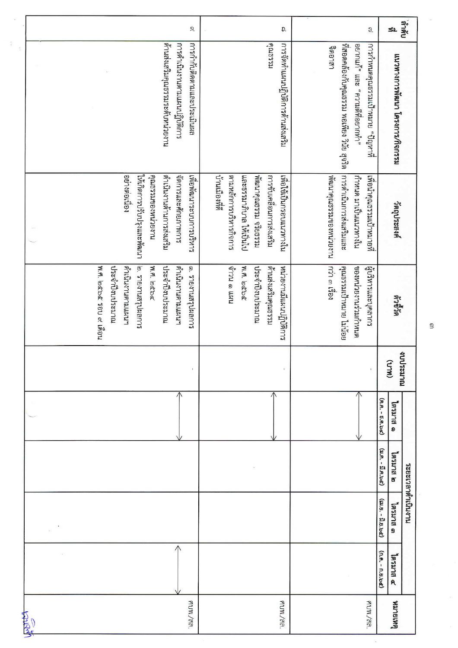|               |                                          |                  |                            |                   |                                  |                          | $\mathcal{D}$              |                                       |                         |                       |                         | ລ                                 |                       |                                            |                                | $\ensuremath{\mathbb{S}}$         |                   | SL                             | กัดกล้            |
|---------------|------------------------------------------|------------------|----------------------------|-------------------|----------------------------------|--------------------------|----------------------------|---------------------------------------|-------------------------|-----------------------|-------------------------|-----------------------------------|-----------------------|--------------------------------------------|--------------------------------|-----------------------------------|-------------------|--------------------------------|-------------------|
|               |                                          |                  |                            |                   | ต้านส่งเสริมคุณธรรมระดับหน่วยงาน | รบบดูบิโนนทแนนนาบิโซ้ากร | การกำกับติดตามและประเมินผล |                                       |                         |                       | <b>Assama</b>           | การจัดทำแผนปฏิบัติการด้านส่งเสริม | าราธาสา               | ที่สอดคล้องกับคุณธรรม พอเพียง วินัย สุจริต | อยากแก้" และ "ความดีที่อยากทำ" | ทารกำหนดคุณธรรมเป้าหมาย "ปัญหาที่ |                   | แนวทางการพัฒนา โครงการ/กิจกรรม |                   |
|               |                                          | อย่างต่อเนื่อง   | ให้เกิดการปรีปปรุงและพัฒนา | คงปรรมของหน่วยงาน | ดำเนินงานด้านการส่งเสริม         | จัดการและศักยภาพการ      | เพื่อพิฒนาระบบการบริหาร    | ทานเมืองทิด<br>ตามหลักการบริหารกิจการ | และธรรมาภิบาล ให้เป็นไป | พัฒนาคุณธรรม จริยธรรม | นะริมเคลื่อนการส่งเสริม | นใยกลายของแนวทางใน                | หนาคุณธรรมของหน่วยงาน | งารดำเนินการส่งเสริมและ                    | กำหนด มาเป็นแนวทางใน           | เพื่อนำคุณธรรมเป้าหมายที่         |                   | ้าตญประสงค์                    |                   |
|               | พ.ศ. ๒๕๖๕ รอบ ๙ เดือน<br>ประจำปึงบประมาณ | เนษายนคานตามแผน" | ้อ. รายงานสรุปผลการ        | W.A. bébe         | ประจำปึงบประมาณ                  | เป็นในงานตามแผน"         | ๑. รายงานสรุปผลการ         | นหา ๒ นะเจ                            | W.A. bebe               | ประจำปึงบประมาณ       | เรราแล้งเสริมคุณธรรม    | หน่วยงานมีแผนปฏิบัติการ           | กว่า ๓ เรื่อง         | คุณมีรรมเป้าหมาย ไม่น้อย                   | ของหน่วยงานร่วมกำหนด           | ผู้บริหารและบุคลากร               |                   | ติกษิณ์                        |                   |
|               |                                          |                  |                            |                   |                                  |                          |                            |                                       |                         |                       |                         |                                   |                       |                                            |                                |                                   |                   | (MLD)                          | งการะมาณ          |
|               |                                          |                  |                            |                   |                                  |                          |                            |                                       |                         |                       |                         |                                   |                       |                                            |                                |                                   | (A.A. - 5.A.bc)   | อกเลข<br>ø                     |                   |
|               |                                          |                  |                            |                   |                                  |                          |                            |                                       |                         |                       |                         |                                   |                       |                                            |                                |                                   | (21.A. - J.A.bd)  |                                |                   |
|               |                                          |                  |                            |                   |                                  |                          |                            |                                       |                         |                       |                         |                                   |                       |                                            |                                |                                   | (เม.ย. - มิ.ย.๖๕) | ไตรมาล ๓                       | นาะเวลาด้าเนินงาน |
|               |                                          |                  |                            |                   |                                  |                          |                            |                                       |                         |                       |                         |                                   |                       |                                            |                                |                                   | (n.fl. - n.ll.bd) | อยเนยตุ                        |                   |
| <b>ANSIER</b> |                                          |                  |                            |                   |                                  |                          | ฅบพ <i>./</i> สถ.          |                                       |                         |                       |                         | ศบพ./สล.                          |                       |                                            |                                | ศบพ./สถ.                          |                   | <b>GRIBLICK</b>                |                   |

ŝ

 $\mathsf B$